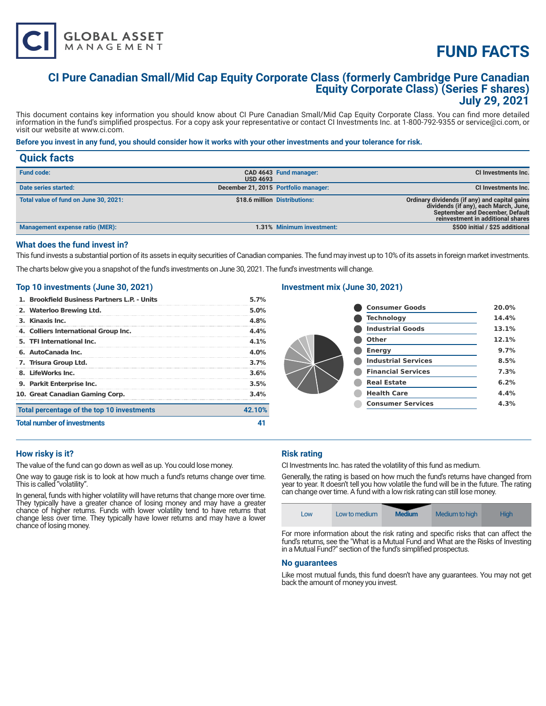# **FUND FACTS**

# **CI Pure Canadian Small/Mid Cap Equity Corporate Class (formerly Cambridge Pure Canadian Equity Corporate Class) (Series F shares) July 29, 2021**

This document contains key information you should know about CI Pure Canadian Small/Mid Cap Equity Corporate Class. You can find more detailed information in the fund's simplified prospectus. For a copy ask your representative or contact CI Investments Inc. at 1-800-792-9355 or service@ci.com, or visit our website at www.ci.com.

# **Before you invest in any fund, you should consider how it works with your other investments and your tolerance for risk.**

| <b>Quick facts</b>                    |                 |                                      |                                                                                                                                                                |
|---------------------------------------|-----------------|--------------------------------------|----------------------------------------------------------------------------------------------------------------------------------------------------------------|
| <b>Fund code:</b>                     | <b>USD 4693</b> | CAD 4643 Fund manager:               | CI Investments Inc.                                                                                                                                            |
| Date series started:                  |                 | December 21, 2015 Portfolio manager: | CI Investments Inc.                                                                                                                                            |
| Total value of fund on June 30, 2021: |                 | \$18.6 million Distributions:        | Ordinary dividends (if any) and capital gains<br>dividends (if any), each March, June,<br>September and December, Default<br>reinvestment in additional shares |
| Management expense ratio (MER):       |                 | 1.31% Minimum investment:            | \$500 initial / \$25 additional                                                                                                                                |

# **What does the fund invest in?**

This fund invests a substantial portion of its assets in equity securities of Canadian companies. The fund may invest up to 10% of its assets in foreign market investments.

The charts below give you a snapshot of the fund's investments on June 30, 2021. The fund's investments will change.

#### **Top 10 investments (June 30, 2021)**

**GLOBAL ASSET**<br>MANAGEMENT

| 1. Brookfield Business Partners L.P. - Units | 5.7%    |
|----------------------------------------------|---------|
| 2. Waterloo Brewing Ltd.                     | 5.0%    |
| 3. Kinaxis Inc.                              | 4.8%    |
| 4. Colliers International Group Inc.         | 4.4%    |
| 5. TFI International Inc.                    | 4.1%    |
| 6. AutoCanada Inc.                           | $4.0\%$ |
| 7. Trisura Group Ltd.                        | 3.7%    |
| 8. LifeWorks Inc.                            | 3.6%    |
| 9. Parkit Enterprise Inc.                    | 3.5%    |
| 10. Great Canadian Gaming Corp.              | 3.4%    |
| Total percentage of the top 10 investments   | 42.10%  |
| <b>Total number of investments</b>           |         |

# **Investment mix (June 30, 2021)**

| <b>Consumer Goods</b>      | 20.0% |
|----------------------------|-------|
| <b>Technology</b>          | 14.4% |
| <b>Industrial Goods</b>    | 13.1% |
| Other                      | 12.1% |
| <b>Energy</b>              | 9.7%  |
| <b>Industrial Services</b> | 8.5%  |
| <b>Financial Services</b>  | 7.3%  |
| <b>Real Estate</b>         | 6.2%  |
| <b>Health Care</b>         | 4.4%  |
| <b>Consumer Services</b>   | 4.3%  |

# **How risky is it?**

The value of the fund can go down as well as up. You could lose money.

One way to gauge risk is to look at how much a fund's returns change over time. This is called "volatility".

In general, funds with higher volatility will have returns that change more over time. They typically have a greater chance of losing money and may have a greater chance of higher returns. Funds with lower volatility tend to have returns that change less over time. They typically have lower returns and may have a lower chance of losing money.

# **Risk rating**

CI Investments Inc. has rated the volatility of this fund as medium.

Generally, the rating is based on how much the fund's returns have changed from year to year. It doesn't tell you how volatile the fund will be in the future. The rating can change over time. A fund with a low risk rating can still lose money.



For more information about the risk rating and specific risks that can affect the fund's returns, see the "What is a Mutual Fund and What are the Risks of Investing in a Mutual Fund?" section of the fund's simplified prospectus.

#### **No guarantees**

Like most mutual funds, this fund doesn't have any guarantees. You may not get back the amount of money you invest.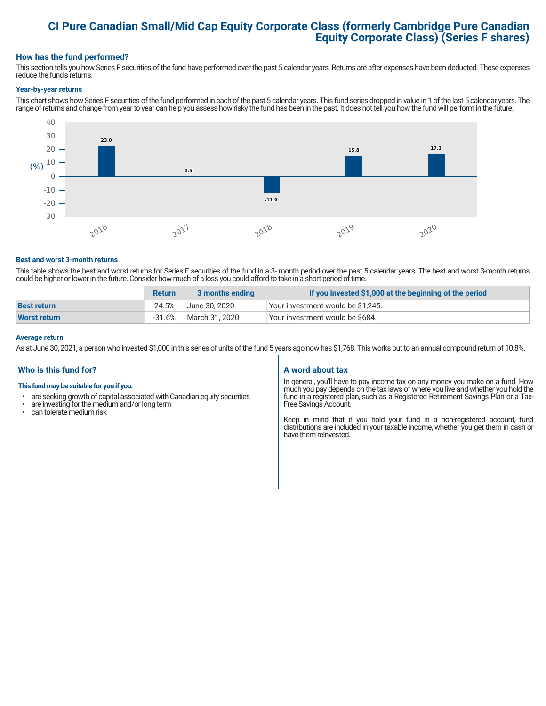# **CI Pure Canadian Small/Mid Cap Equity Corporate Class (formerly Cambridge Pure Canadian Equity Corporate Class) (Series F shares)**

# **How has the fund performed?**

This section tells you how Series F securities of the fund have performed over the past 5 calendar years. Returns are after expenses have been deducted. These expenses reduce the fund's returns.

#### **Year-by-year returns**

This chart shows how Series F securities of the fund performed in each of the past 5 calendar years. This fund series dropped in value in 1 of the last 5 calendar years. The range of returns and change from year to year can help you assess how risky the fund has been in the past. It does not tell you how the fund will perform in the future.



#### **Best and worst 3-month returns**

This table shows the best and worst returns for Series F securities of the fund in a 3- month period over the past 5 calendar years. The best and worst 3-month returns could be higher or lower in the future. Consider how much of a loss you could afford to take in a short period of time.

|                     | <b>Return</b> | 3 months ending | If you invested \$1,000 at the beginning of the period |  |  |
|---------------------|---------------|-----------------|--------------------------------------------------------|--|--|
| <b>Best return</b>  | 24.5%         | June 30. 2020   | Your investment would be \$1,245.                      |  |  |
| <b>Worst return</b> | -31.6%        | March 31, 2020  | Vour investment would be \$684.                        |  |  |

#### **Average return**

As at June 30, 2021, a person who invested \$1,000 in this series of units of the fund 5 years ago now has \$1,768. This works out to an annual compound return of 10.8%.

# **Who is this fund for?**

#### **This fund may be suitable for you if you:**

- are seeking growth of capital associated with Canadian equity securities
- $\cdot$  are investing for the medium and/or long term<br> $\cdot$  can telerate medium risk
- can tolerate medium risk

# **A word about tax**

In general, you'll have to pay income tax on any money you make on a fund. How much you pay depends on the tax laws of where you live and whether you hold the fund in a registered plan, such as a Registered Retirement Savings Plan or a Tax-Free Savings Account.

Keep in mind that if you hold your fund in a non-registered account, fund distributions are included in your taxable income, whether you get them in cash or have them reinvested.